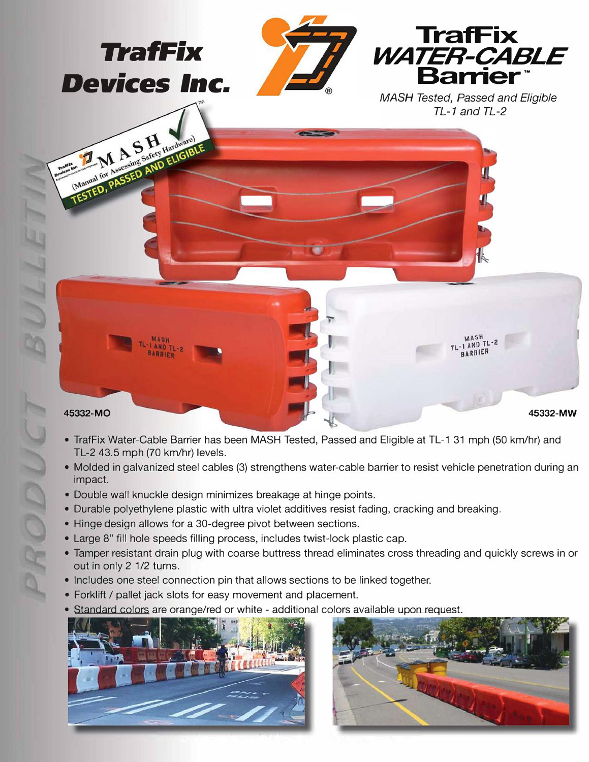

- TrafFix Water-Cable Barrier has been MASH Tested, Passed and Eligible at TL-1 31 mph (50 km/hr) and TL-2 43.5 mph (70 km/hr) levels.
- Molded in galvanized steel cables (3) strengthens water-cable barrier to resist vehicle penetration during an impact.
- Double wall knuckle design minimizes breakage at hinge points.
- Durable polyethylene plastic with ultra violet additives resist fading, cracking and breaking.
- Hinge design allows for a 30-degree pivot between sections.
- Large 8" fill hole speeds filling process, includes twist-lock plastic cap.
- Tamper resistant drain plug with coarse buttress thread eliminates cross threading and quickly screws in or out in only 2 1/2 turns.
- Includes one steel connection pin that allows sections to be linked together.
- Forklift / pallet jack slots for easy movement and placement.
- Standard colors are orange/red or white additional colors available upon request.